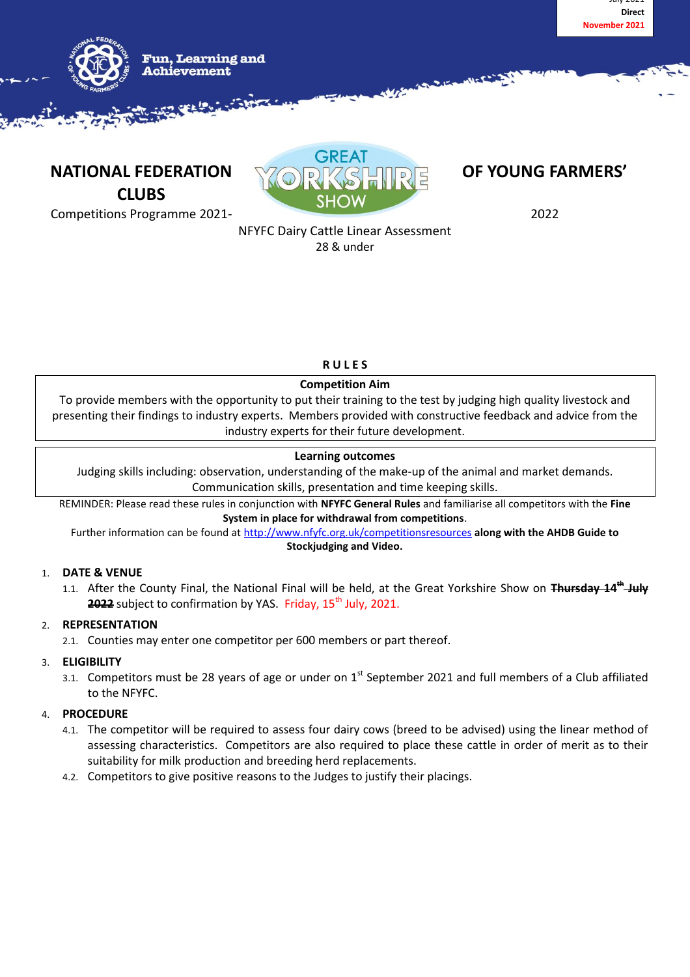



**NATIONAL FEDERATION WARE DEVICED TO BE YOUNG FARMERS' CLUBS**



Competitions Programme 2021- 2022

# NFYFC Dairy Cattle Linear Assessment

28 & under

# **R U L E S**

# **Competition Aim**

To provide members with the opportunity to put their training to the test by judging high quality livestock and presenting their findings to industry experts. Members provided with constructive feedback and advice from the industry experts for their future development.

# **Learning outcomes**

Judging skills including: observation, understanding of the make-up of the animal and market demands. Communication skills, presentation and time keeping skills.

REMINDER: Please read these rules in conjunction with **NFYFC General Rules** and familiarise all competitors with the **Fine System in place for withdrawal from competitions**.

Further information can be found at<http://www.nfyfc.org.uk/competitionsresources> **along with the AHDB Guide to Stockjudging and Video.**

## 1. **DATE & VENUE**

1.1. After the County Final, the National Final will be held, at the Great Yorkshire Show on Fhursday 14<sup>th</sup> July **2022** subject to confirmation by YAS. Friday, 15<sup>th</sup> July, 2021.

# 2. **REPRESENTATION**

2.1. Counties may enter one competitor per 600 members or part thereof.

#### 3. **ELIGIBILITY**

3.1. Competitors must be 28 years of age or under on  $1<sup>st</sup>$  September 2021 and full members of a Club affiliated to the NFYFC.

# 4. **PROCEDURE**

- 4.1. The competitor will be required to assess four dairy cows (breed to be advised) using the linear method of assessing characteristics. Competitors are also required to place these cattle in order of merit as to their suitability for milk production and breeding herd replacements.
- 4.2. Competitors to give positive reasons to the Judges to justify their placings.